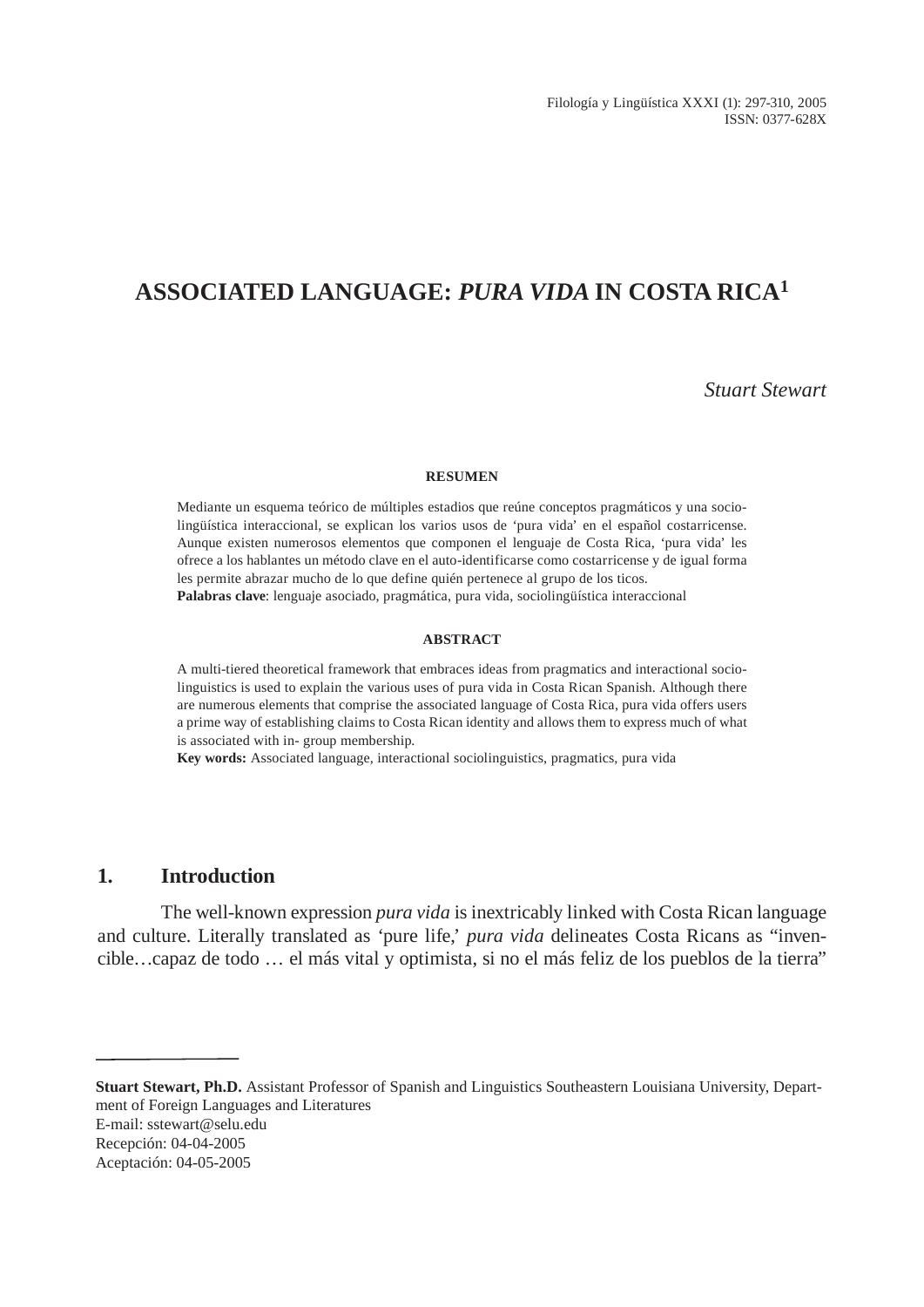Filología y Lingüística XXXI (1): 297-310, 2005 ISSN: 0377-628X

# **ASSOCIATED LANGUAGE:** *PURA VIDA* **IN COSTA RICA<sup>1</sup>**

*Stuart Stewart*

#### **RESUMEN**

Mediante un esquema teórico de múltiples estadios que reúne conceptos pragmáticos y una sociolingüística interaccional, se explican los varios usos de 'pura vida' en el español costarricense. Aunque existen numerosos elementos que componen el lenguaje de Costa Rica, 'pura vida' les ofrece a los hablantes un método clave en el auto-identificarse como costarricense y de igual forma les permite abrazar mucho de lo que define quién pertenece al grupo de los ticos. **Palabras clave**: lenguaje asociado, pragmática, pura vida, sociolingüística interaccional

#### **ABSTRACT**

A multi-tiered theoretical framework that embraces ideas from pragmatics and interactional sociolinguistics is used to explain the various uses of pura vida in Costa Rican Spanish. Although there are numerous elements that comprise the associated language of Costa Rica, pura vida offers users a prime way of establishing claims to Costa Rican identity and allows them to express much of what is associated with in- group membership.

**Key words:** Associated language, interactional sociolinguistics, pragmatics, pura vida

# **1. Introduction**

The well-known expression *pura vida* is inextricably linked with Costa Rican language and culture. Literally translated as 'pure life,' *pura vida* delineates Costa Ricans as "invencible…capaz de todo … el más vital y optimista, si no el más feliz de los pueblos de la tierra"

**Stuart Stewart, Ph.D.** Assistant Professor of Spanish and Linguistics Southeastern Louisiana University, Department of Foreign Languages and Literatures E-mail: sstewart@selu.edu

Recepción: 04-04-2005

Aceptación: 04-05-2005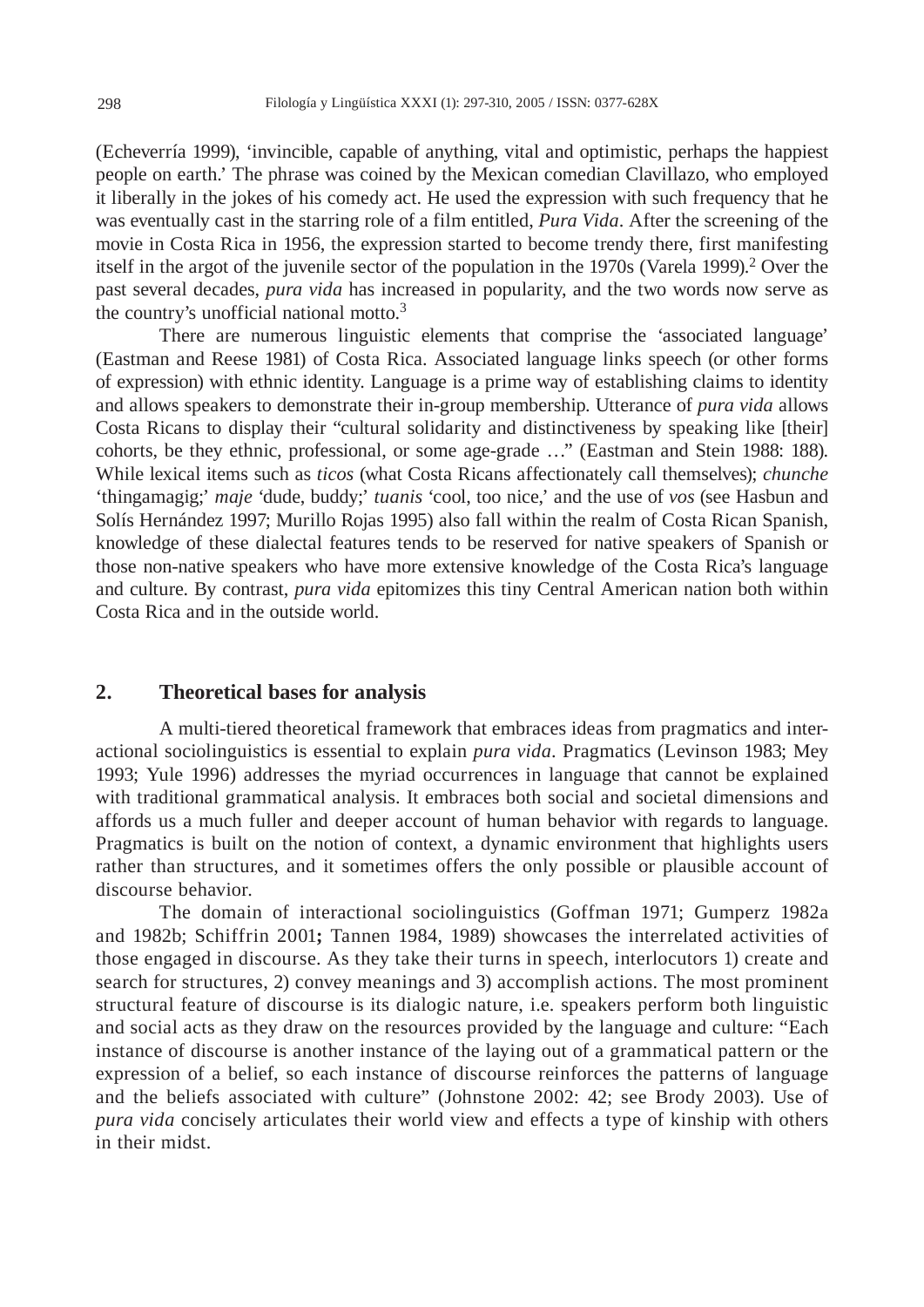(Echeverría 1999), 'invincible, capable of anything, vital and optimistic, perhaps the happiest people on earth.' The phrase was coined by the Mexican comedian Clavillazo, who employed it liberally in the jokes of his comedy act. He used the expression with such frequency that he was eventually cast in the starring role of a film entitled, *Pura Vida*. After the screening of the movie in Costa Rica in 1956, the expression started to become trendy there, first manifesting itself in the argot of the juvenile sector of the population in the 1970s (Varela 1999).2 Over the past several decades, *pura vida* has increased in popularity, and the two words now serve as the country's unofficial national motto.<sup>3</sup>

There are numerous linguistic elements that comprise the 'associated language' (Eastman and Reese 1981) of Costa Rica. Associated language links speech (or other forms of expression) with ethnic identity. Language is a prime way of establishing claims to identity and allows speakers to demonstrate their in-group membership. Utterance of *pura vida* allows Costa Ricans to display their "cultural solidarity and distinctiveness by speaking like [their] cohorts, be they ethnic, professional, or some age-grade …" (Eastman and Stein 1988: 188). While lexical items such as *ticos* (what Costa Ricans affectionately call themselves); *chunche* 'thingamagig;' *maje* 'dude, buddy;' *tuanis* 'cool, too nice,' and the use of *vos* (see Hasbun and Solís Hernández 1997; Murillo Rojas 1995) also fall within the realm of Costa Rican Spanish, knowledge of these dialectal features tends to be reserved for native speakers of Spanish or those non-native speakers who have more extensive knowledge of the Costa Rica's language and culture. By contrast, *pura vida* epitomizes this tiny Central American nation both within Costa Rica and in the outside world.

# **2. Theoretical bases for analysis**

A multi-tiered theoretical framework that embraces ideas from pragmatics and interactional sociolinguistics is essential to explain *pura vida*. Pragmatics (Levinson 1983; Mey 1993; Yule 1996) addresses the myriad occurrences in language that cannot be explained with traditional grammatical analysis. It embraces both social and societal dimensions and affords us a much fuller and deeper account of human behavior with regards to language. Pragmatics is built on the notion of context, a dynamic environment that highlights users rather than structures, and it sometimes offers the only possible or plausible account of discourse behavior.

The domain of interactional sociolinguistics (Goffman 1971; Gumperz 1982a and 1982b; Schiffrin 2001**;** Tannen 1984, 1989) showcases the interrelated activities of those engaged in discourse. As they take their turns in speech, interlocutors 1) create and search for structures, 2) convey meanings and 3) accomplish actions. The most prominent structural feature of discourse is its dialogic nature, i.e. speakers perform both linguistic and social acts as they draw on the resources provided by the language and culture: "Each instance of discourse is another instance of the laying out of a grammatical pattern or the expression of a belief, so each instance of discourse reinforces the patterns of language and the beliefs associated with culture" (Johnstone 2002: 42; see Brody 2003). Use of *pura vida* concisely articulates their world view and effects a type of kinship with others in their midst.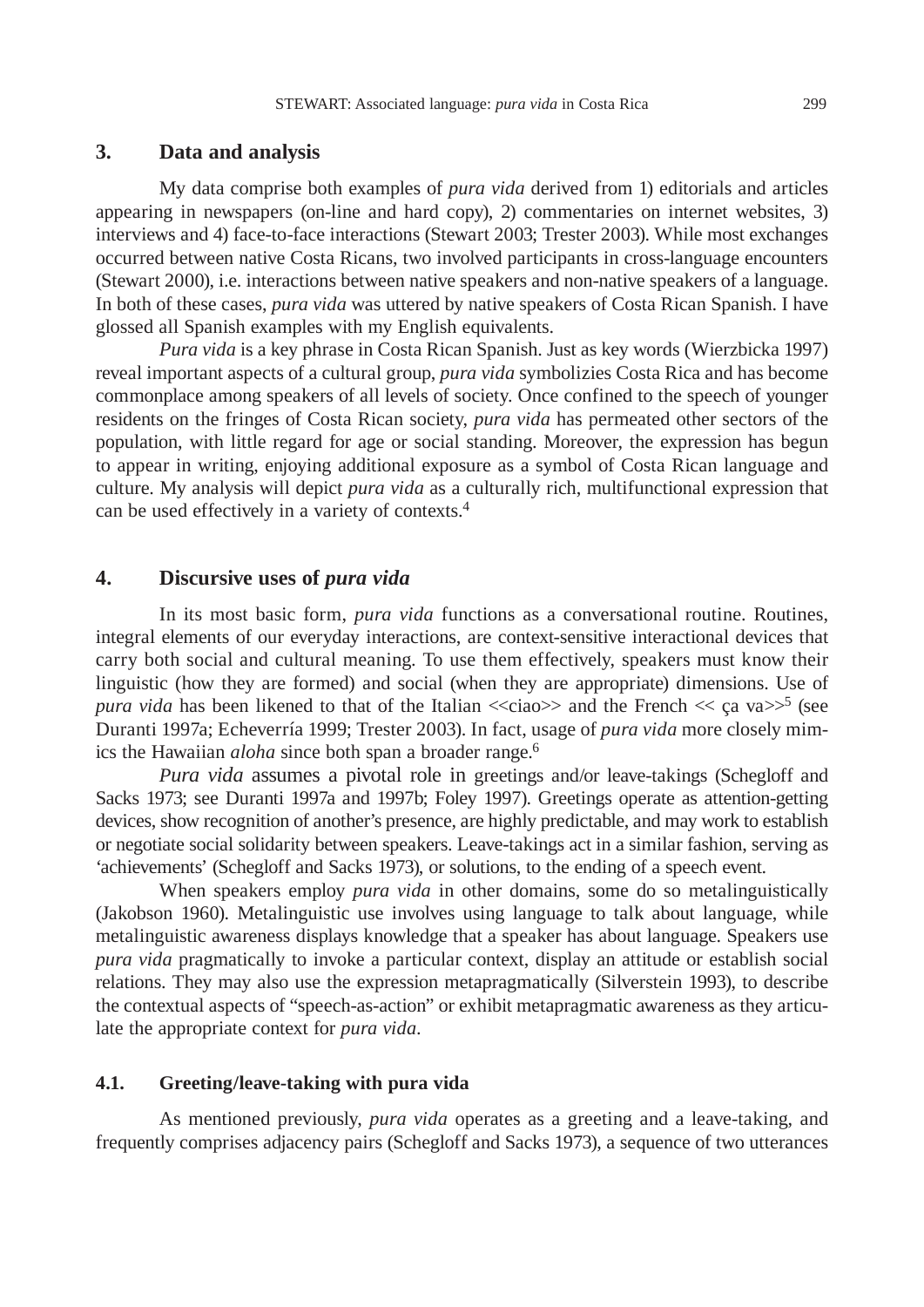# **3. Data and analysis**

My data comprise both examples of *pura vida* derived from 1) editorials and articles appearing in newspapers (on-line and hard copy), 2) commentaries on internet websites, 3) interviews and 4) face-to-face interactions (Stewart 2003; Trester 2003). While most exchanges occurred between native Costa Ricans, two involved participants in cross-language encounters (Stewart 2000), i.e. interactions between native speakers and non-native speakers of a language. In both of these cases, *pura vida* was uttered by native speakers of Costa Rican Spanish. I have glossed all Spanish examples with my English equivalents.

*Pura vida* is a key phrase in Costa Rican Spanish. Just as key words (Wierzbicka 1997) reveal important aspects of a cultural group, *pura vida* symbolizies Costa Rica and has become commonplace among speakers of all levels of society. Once confined to the speech of younger residents on the fringes of Costa Rican society, *pura vida* has permeated other sectors of the population, with little regard for age or social standing. Moreover, the expression has begun to appear in writing, enjoying additional exposure as a symbol of Costa Rican language and culture. My analysis will depict *pura vida* as a culturally rich, multifunctional expression that can be used effectively in a variety of contexts.4

# **4. Discursive uses of** *pura vida*

In its most basic form, *pura vida* functions as a conversational routine. Routines, integral elements of our everyday interactions, are context-sensitive interactional devices that carry both social and cultural meaning. To use them effectively, speakers must know their linguistic (how they are formed) and social (when they are appropriate) dimensions. Use of *pura vida* has been likened to that of the Italian  $\ll$ ciao  $\gg$  and the French  $\ll$  ca va $\gg$ <sup>5</sup> (see Duranti 1997a; Echeverría 1999; Trester 2003). In fact, usage of *pura vida* more closely mimics the Hawaiian *aloha* since both span a broader range.6

*Pura vida* assumes a pivotal role in greetings and/or leave-takings (Schegloff and Sacks 1973; see Duranti 1997a and 1997b; Foley 1997). Greetings operate as attention-getting devices, show recognition of another's presence, are highly predictable, and may work to establish or negotiate social solidarity between speakers. Leave-takings act in a similar fashion, serving as 'achievements' (Schegloff and Sacks 1973), or solutions, to the ending of a speech event.

When speakers employ *pura vida* in other domains, some do so metalinguistically (Jakobson 1960). Metalinguistic use involves using language to talk about language, while metalinguistic awareness displays knowledge that a speaker has about language. Speakers use *pura vida* pragmatically to invoke a particular context, display an attitude or establish social relations. They may also use the expression metapragmatically (Silverstein 1993), to describe the contextual aspects of "speech-as-action" or exhibit metapragmatic awareness as they articulate the appropriate context for *pura vida*.

#### **4.1. Greeting/leave-taking with pura vida**

As mentioned previously, *pura vida* operates as a greeting and a leave-taking, and frequently comprises adjacency pairs (Schegloff and Sacks 1973), a sequence of two utterances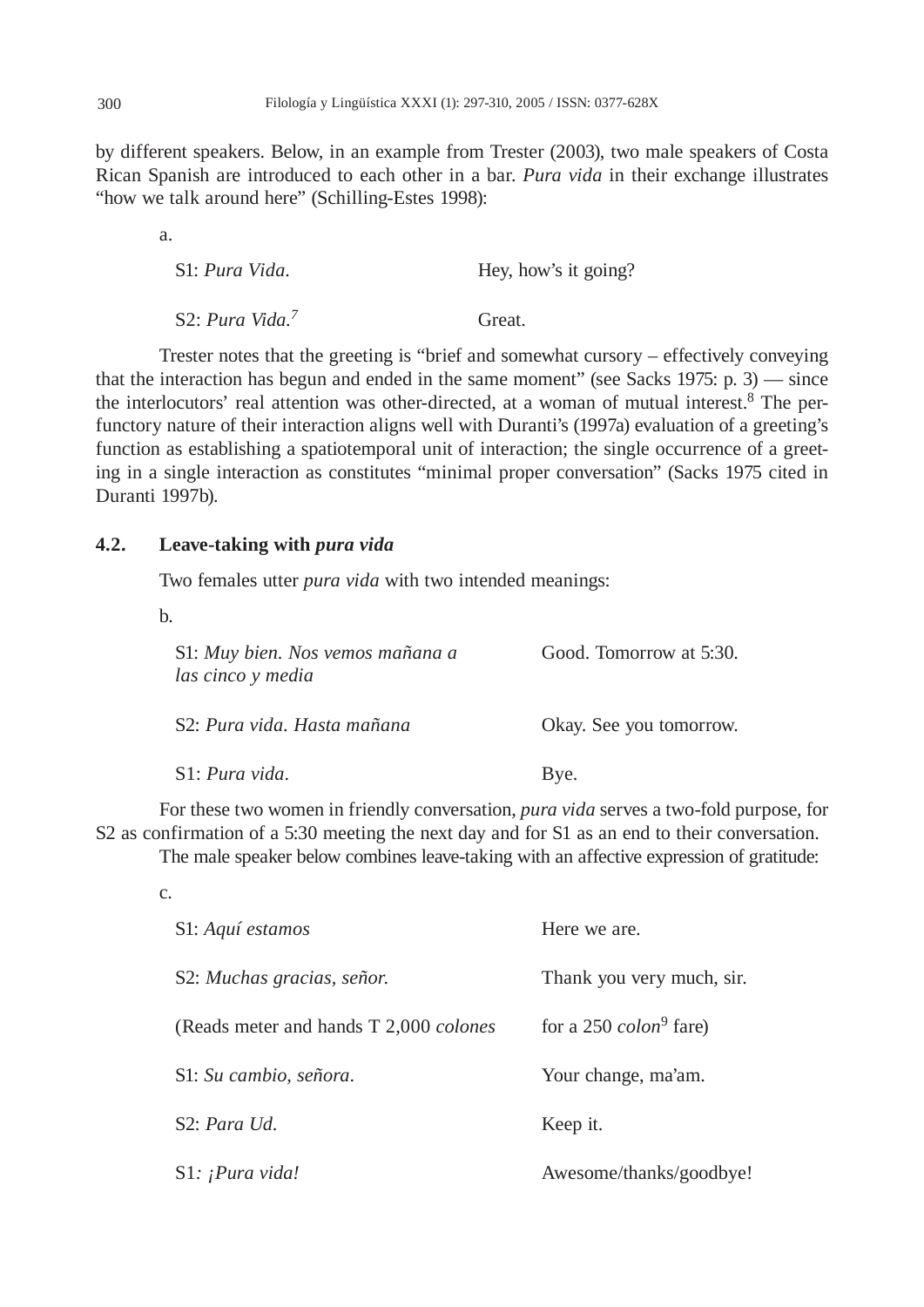by different speakers. Below, in an example from Trester (2003), two male speakers of Costa Rican Spanish are introduced to each other in a bar. *Pura vida* in their exchange illustrates "how we talk around here" (Schilling-Estes 1998):

| S1: Pura Vida.               | Hey, how's it going? |
|------------------------------|----------------------|
| S2: Pura Vida. $\frac{7}{4}$ | Great.               |

Trester notes that the greeting is "brief and somewhat cursory – effectively conveying that the interaction has begun and ended in the same moment" (see Sacks 1975: p. 3) — since the interlocutors' real attention was other-directed, at a woman of mutual interest. $8$  The perfunctory nature of their interaction aligns well with Duranti's (1997a) evaluation of a greeting's function as establishing a spatiotemporal unit of interaction; the single occurrence of a greeting in a single interaction as constitutes "minimal proper conversation" (Sacks 1975 cited in Duranti 1997b).

# **4.2. Leave-taking with** *pura vida*

Two females utter *pura vida* with two intended meanings:

b.

a.

| S1: Muy bien. Nos vemos mañana a<br>las cinco y media | Good. Tomorrow at 5:30. |
|-------------------------------------------------------|-------------------------|
| S2: Pura vida. Hasta mañana                           | Okay. See you tomorrow. |
| S1: Pura vida.                                        | Bye.                    |

For these two women in friendly conversation, *pura vida* serves a two-fold purpose, for S2 as confirmation of a 5:30 meeting the next day and for S1 as an end to their conversation.

The male speaker below combines leave-taking with an affective expression of gratitude:

| c.                                              |                                  |
|-------------------------------------------------|----------------------------------|
| S1: Aquí estamos                                | Here we are.                     |
| S2: Muchas gracias, señor.                      | Thank you very much, sir.        |
| (Reads meter and hands T 2,000 <i>colones</i> ) | for a 250 $\mathit{colon}$ fare) |
| S1: Su cambio, señora.                          | Your change, ma'am.              |
| S2: Para Ud.                                    | Keep it.                         |
| S1: ¡Pura vida!                                 | Awesome/thanks/goodbye!          |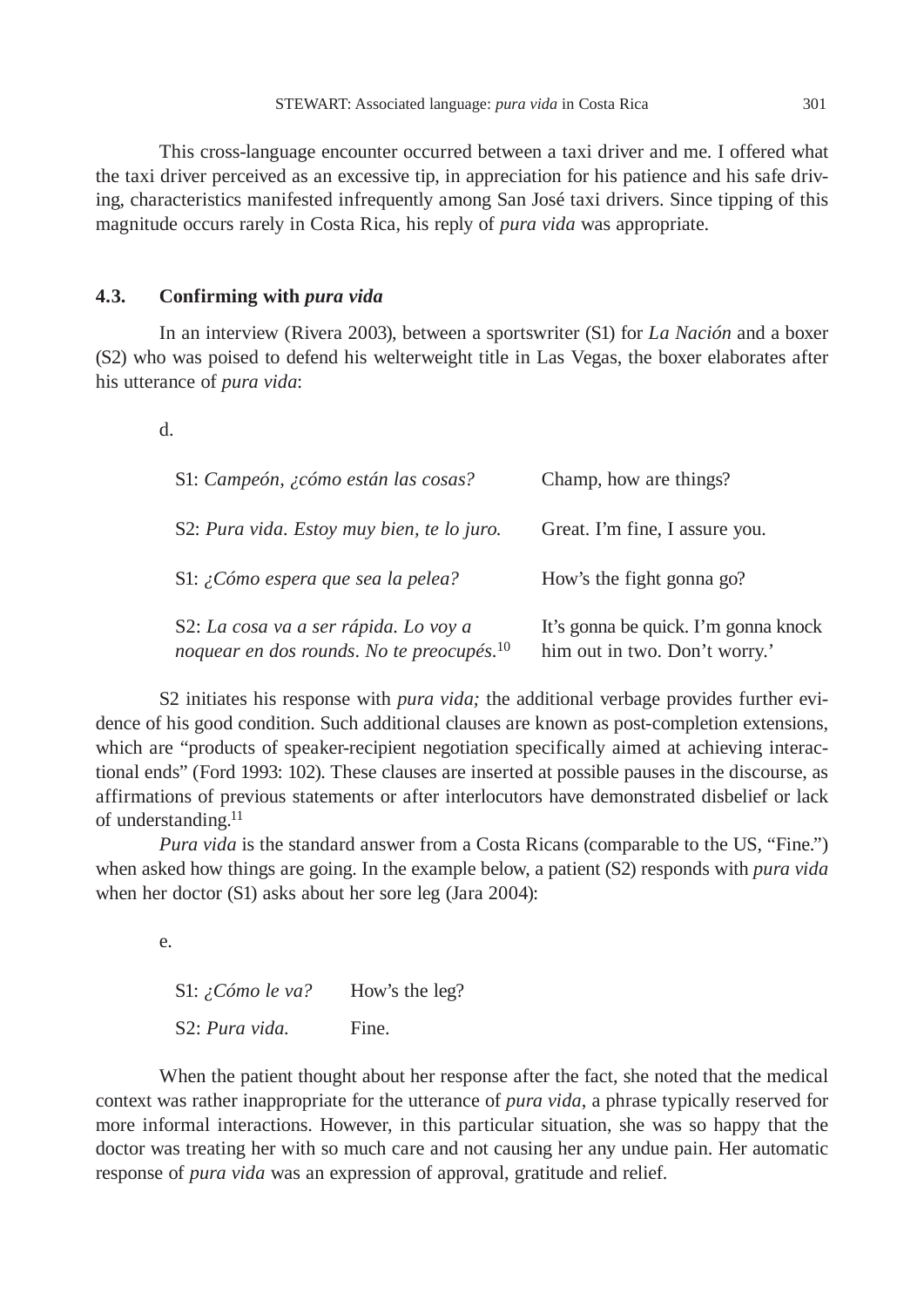This cross-language encounter occurred between a taxi driver and me. I offered what the taxi driver perceived as an excessive tip, in appreciation for his patience and his safe driving, characteristics manifested infrequently among San José taxi drivers. Since tipping of this magnitude occurs rarely in Costa Rica, his reply of *pura vida* was appropriate.

# **4.3. Confirming with** *pura vida*

In an interview (Rivera 2003), between a sportswriter (S1) for *La Nación* and a boxer (S2) who was poised to defend his welterweight title in Las Vegas, the boxer elaborates after his utterance of *pura vida*:

d.

| S1: Campeón, ¿cómo están las cosas?                                                            | Champ, how are things?                                                |
|------------------------------------------------------------------------------------------------|-----------------------------------------------------------------------|
| S2: Pura vida. Estoy muy bien, te lo juro.                                                     | Great. I'm fine, I assure you.                                        |
| S1: ¿Cómo espera que sea la pelea?                                                             | How's the fight gonna go?                                             |
| S2: La cosa va a ser rápida. Lo voy a<br>noquear en dos rounds. No te preocupés. <sup>10</sup> | It's gonna be quick. I'm gonna knock<br>him out in two. Don't worry.' |

S2 initiates his response with *pura vida;* the additional verbage provides further evidence of his good condition. Such additional clauses are known as post-completion extensions, which are "products of speaker-recipient negotiation specifically aimed at achieving interactional ends" (Ford 1993: 102). These clauses are inserted at possible pauses in the discourse, as affirmations of previous statements or after interlocutors have demonstrated disbelief or lack of understanding.<sup>11</sup>

*Pura vida* is the standard answer from a Costa Ricans (comparable to the US, "Fine.") when asked how things are going. In the example below, a patient (S2) responds with *pura vida* when her doctor (S1) asks about her sore leg (Jara 2004):

e.

S1: *¿Cómo le va?* How's the leg? S2: *Pura vida*. Fine.

When the patient thought about her response after the fact, she noted that the medical context was rather inappropriate for the utterance of *pura vida*, a phrase typically reserved for more informal interactions. However, in this particular situation, she was so happy that the doctor was treating her with so much care and not causing her any undue pain. Her automatic response of *pura vida* was an expression of approval, gratitude and relief.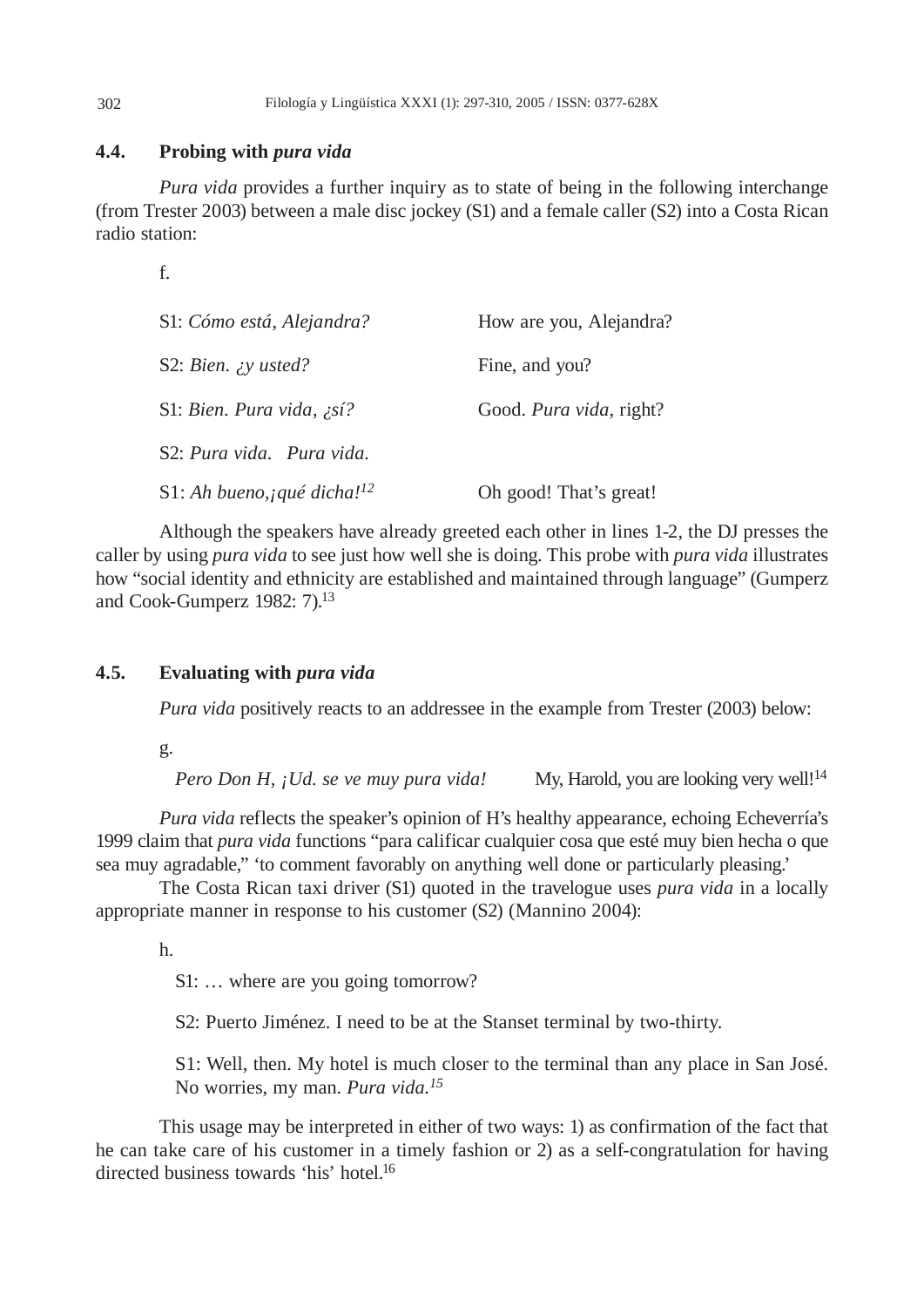# **4.4. Probing with** *pura vida*

*Pura vida* provides a further inquiry as to state of being in the following interchange (from Trester 2003) between a male disc jockey (S1) and a female caller (S2) into a Costa Rican radio station:

f.

| S1: Cómo está, Alejandra?                     | How are you, Alejandra? |
|-----------------------------------------------|-------------------------|
| S2: Bien. $\chi y$ usted?                     | Fine, and you?          |
| S1: Bien. Pura vida, ¿sí?                     | Good. Pura vida, right? |
| S2: Pura vida. Pura vida.                     |                         |
| S1: Ah bueno, <i>qué dicha!</i> <sup>12</sup> | Oh good! That's great!  |

Although the speakers have already greeted each other in lines 1-2, the DJ presses the caller by using *pura vida* to see just how well she is doing. This probe with *pura vida* illustrates how "social identity and ethnicity are established and maintained through language" (Gumperz and Cook-Gumperz 1982: 7).13

# **4.5. Evaluating with** *pura vida*

*Pura vida* positively reacts to an addressee in the example from Trester (2003) below:

g.

*Pero Don H, ¡Ud. se ve muy pura vida!* My, Harold, you are looking very well!<sup>14</sup>

*Pura vida* reflects the speaker's opinion of H's healthy appearance, echoing Echeverría's 1999 claim that *pura vida* functions "para calificar cualquier cosa que esté muy bien hecha o que sea muy agradable," 'to comment favorably on anything well done or particularly pleasing.'

The Costa Rican taxi driver (S1) quoted in the travelogue uses *pura vida* in a locally appropriate manner in response to his customer (S2) (Mannino 2004):

h.

S1: … where are you going tomorrow?

S2: Puerto Jiménez. I need to be at the Stanset terminal by two-thirty.

 S1: Well, then. My hotel is much closer to the terminal than any place in San José. No worries, my man. *Pura vida.15*

This usage may be interpreted in either of two ways: 1) as confirmation of the fact that he can take care of his customer in a timely fashion or 2) as a self-congratulation for having directed business towards 'his' hotel.16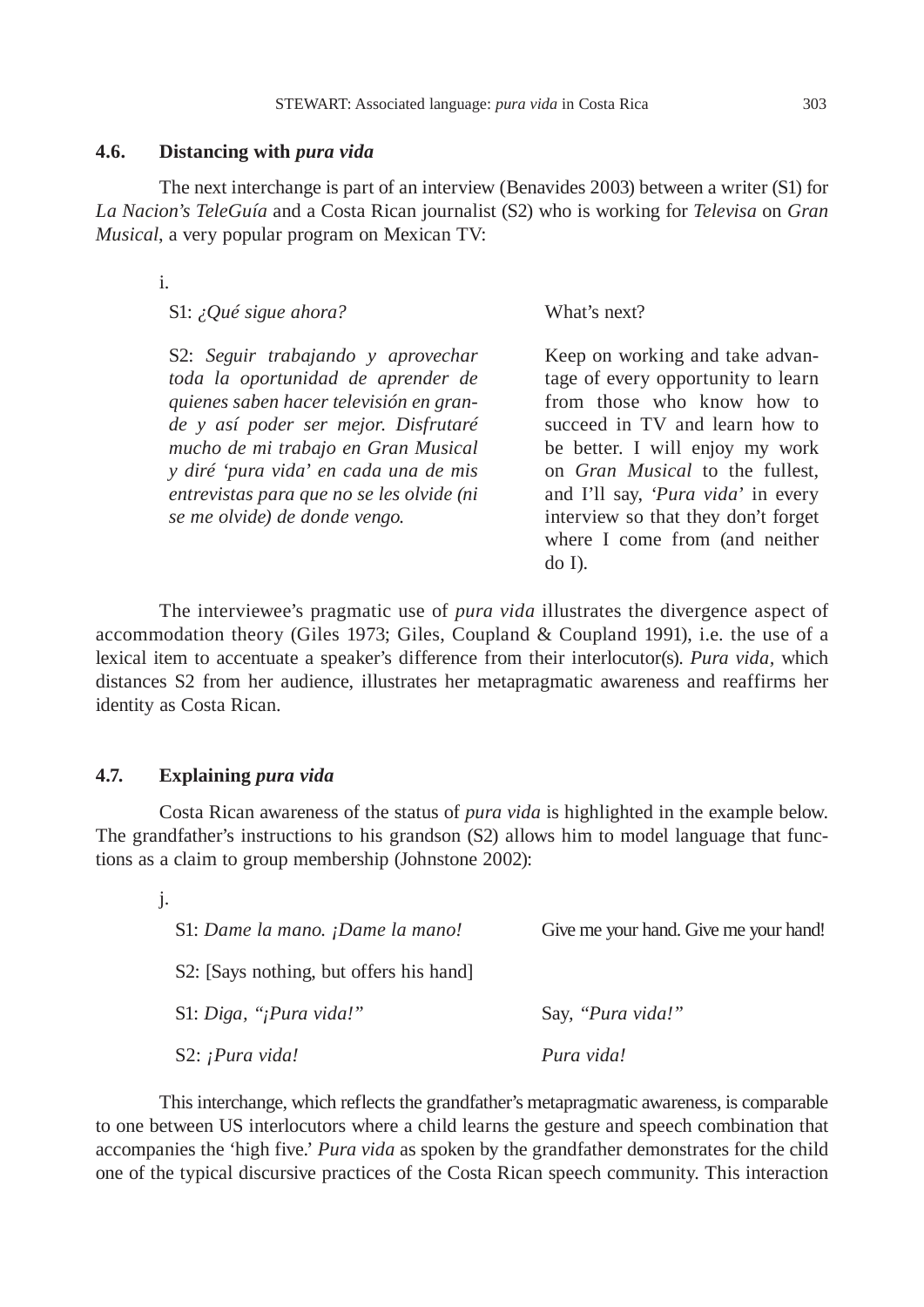#### **4.6. Distancing with** *pura vida*

The next interchange is part of an interview (Benavides 2003) between a writer (S1) for *La Nacion's TeleGuía* and a Costa Rican journalist (S2) who is working for *Televisa* on *Gran Musical*, a very popular program on Mexican TV:

i.

|  | S1: ¿Qué sigue ahora? |
|--|-----------------------|
|  |                       |

 S2: *Seguir trabajando y aprovechar toda la oportunidad de aprender de quienes saben hacer televisión en grande y así poder ser mejor. Disfrutaré mucho de mi trabajo en Gran Musical y diré 'pura vida' en cada una de mis entrevistas para que no se les olvide (ni se me olvide) de donde vengo.*

Keep on working and take advantage of every opportunity to learn from those who know how to succeed in TV and learn how to be better. I will enjoy my work on *Gran Musical* to the fullest, and I'll say, '*Pura vida'* in every interview so that they don't forget where I come from (and neither do I).

What's next?

The interviewee's pragmatic use of *pura vida* illustrates the divergence aspect of accommodation theory (Giles 1973; Giles, Coupland & Coupland 1991), i.e. the use of a lexical item to accentuate a speaker's difference from their interlocutor(s). *Pura vida,* which distances S2 from her audience, illustrates her metapragmatic awareness and reaffirms her identity as Costa Rican.

#### **4.7. Explaining** *pura vida*

Costa Rican awareness of the status of *pura vida* is highlighted in the example below. The grandfather's instructions to his grandson (S2) allows him to model language that functions as a claim to group membership (Johnstone 2002):

| $\mathbf{j}$ . |                                         |                                       |
|----------------|-----------------------------------------|---------------------------------------|
|                | S1: Dame la mano. ¡Dame la mano!        | Give me your hand. Give me your hand! |
|                | S2: [Says nothing, but offers his hand] |                                       |
|                | S1: Diga, "¡Pura vida!"                 | Say, "Pura vida!"                     |
|                | S2: $i$ Pura vida!                      | Pura vida!                            |

This interchange, which reflects the grandfather's metapragmatic awareness, is comparable to one between US interlocutors where a child learns the gesture and speech combination that accompanies the 'high five.' *Pura vida* as spoken by the grandfather demonstrates for the child one of the typical discursive practices of the Costa Rican speech community. This interaction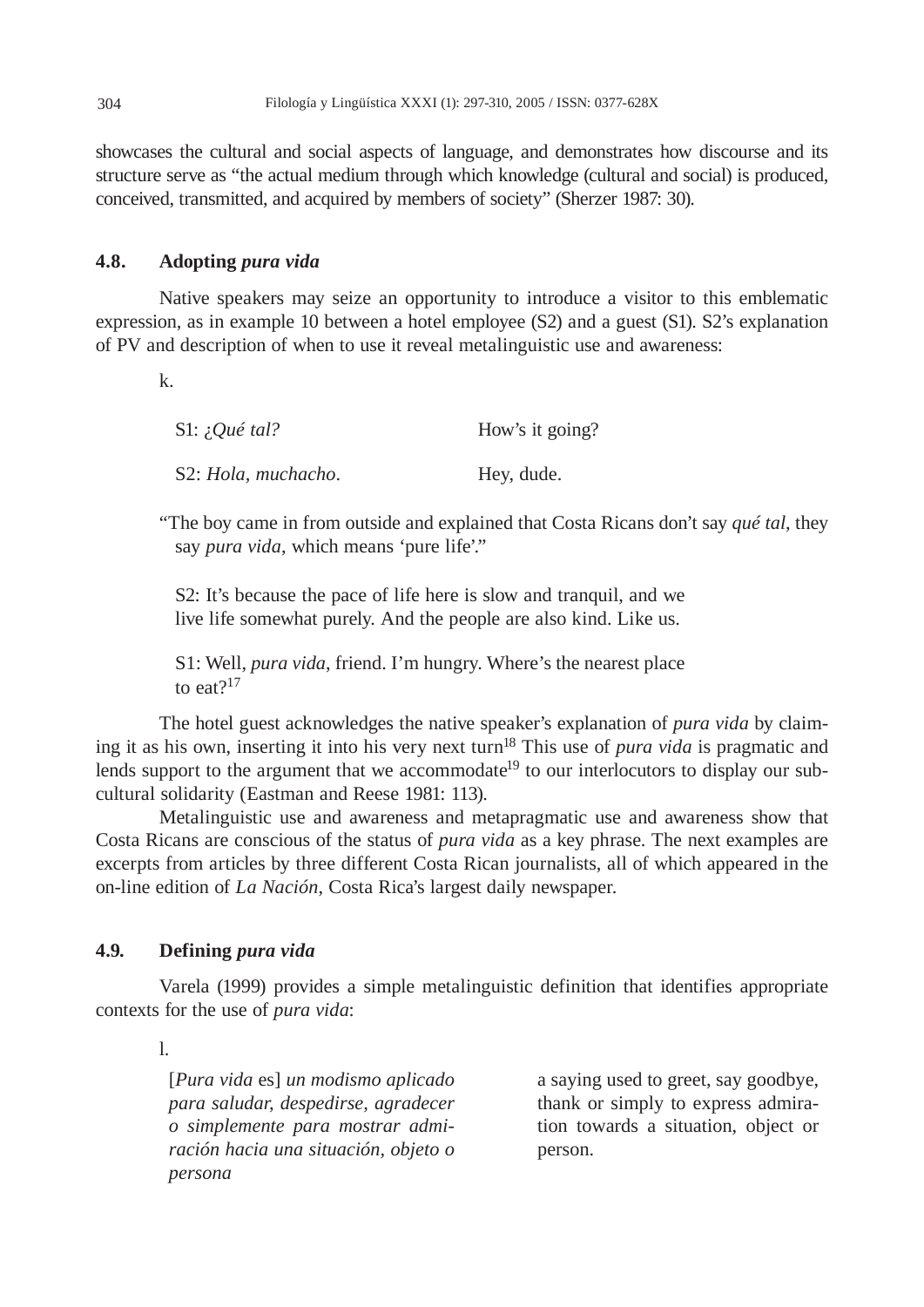showcases the cultural and social aspects of language, and demonstrates how discourse and its structure serve as "the actual medium through which knowledge (cultural and social) is produced, conceived, transmitted, and acquired by members of society" (Sherzer 1987: 30).

# **4.8. Adopting** *pura vida*

Native speakers may seize an opportunity to introduce a visitor to this emblematic expression, as in example 10 between a hotel employee (S2) and a guest (S1). S2's explanation of PV and description of when to use it reveal metalinguistic use and awareness:

k.

| S1: $i$ Qué tal?    | How's it going? |
|---------------------|-----------------|
| S2: Hola, muchacho. | Hey, dude.      |

"The boy came in from outside and explained that Costa Ricans don't say *qué tal*, they say *pura vida*, which means 'pure life'."

 S2: It's because the pace of life here is slow and tranquil, and we live life somewhat purely. And the people are also kind. Like us.

 S1: Well, *pura vida*, friend. I'm hungry. Where's the nearest place to eat?<sup>17</sup>

The hotel guest acknowledges the native speaker's explanation of *pura vida* by claiming it as his own, inserting it into his very next turn18 This use of *pura vida* is pragmatic and lends support to the argument that we accommodate<sup>19</sup> to our interlocutors to display our subcultural solidarity (Eastman and Reese 1981: 113).

Metalinguistic use and awareness and metapragmatic use and awareness show that Costa Ricans are conscious of the status of *pura vida* as a key phrase. The next examples are excerpts from articles by three different Costa Rican journalists, all of which appeared in the on-line edition of *La Nación*, Costa Rica's largest daily newspaper.

# **4.9. Defining** *pura vida*

Varela (1999) provides a simple metalinguistic definition that identifies appropriate contexts for the use of *pura vida*:

l.

[*Pura vida* es] *un modismo aplicado para saludar, despedirse, agradecer o simplemente para mostrar admiración hacia una situación, objeto o persona* 

a saying used to greet, say goodbye, thank or simply to express admiration towards a situation, object or person.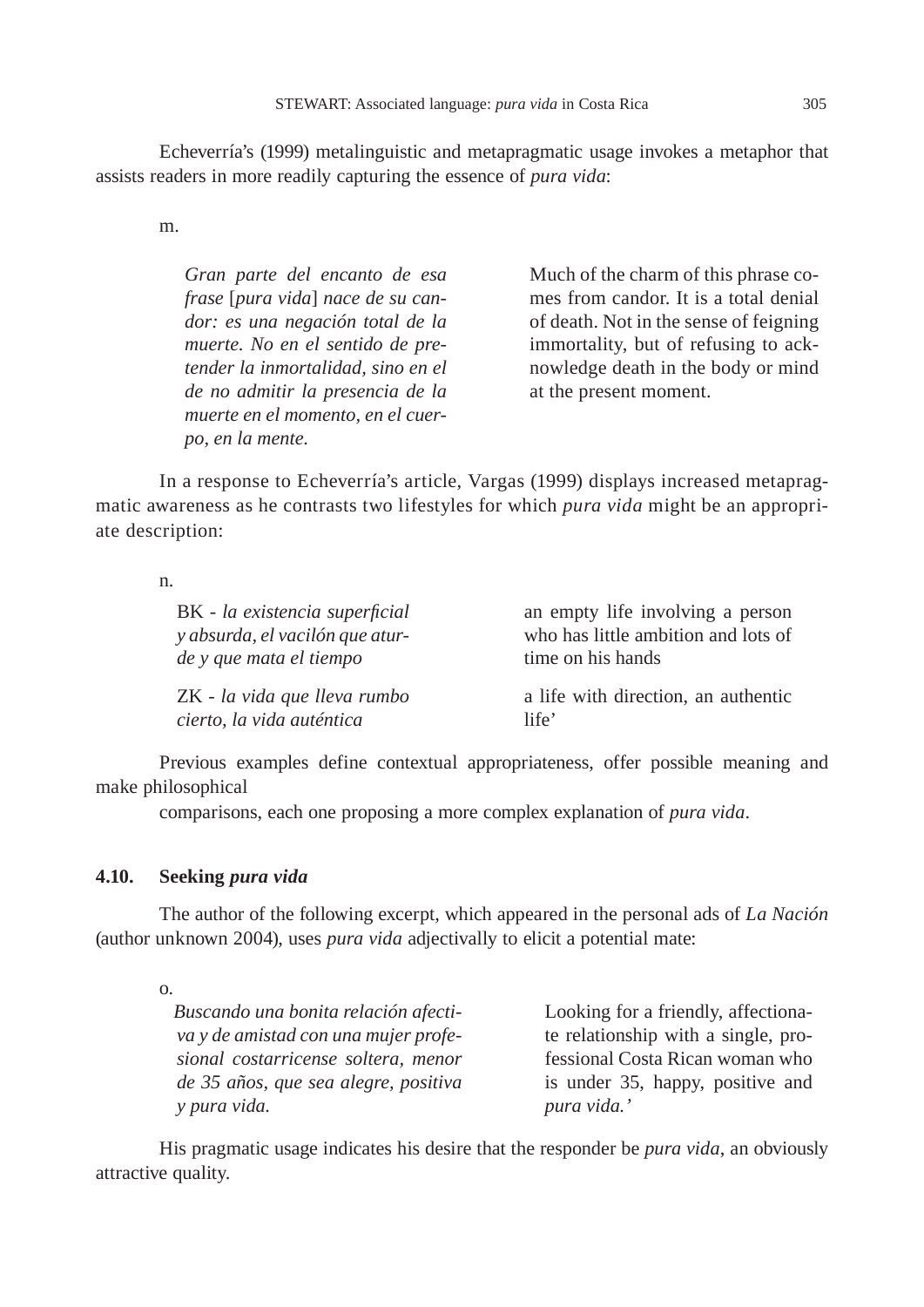Echeverría's (1999) metalinguistic and metapragmatic usage invokes a metaphor that assists readers in more readily capturing the essence of *pura vida*:

m.

*Gran parte del encanto de esa frase* [*pura vida*] *nace de su candor: es una negación total de la muerte. No en el sentido de pretender la inmortalidad, sino en el de no admitir la presencia de la muerte en el momento, en el cuerpo, en la mente.*

Much of the charm of this phrase comes from candor. It is a total denial of death. Not in the sense of feigning immortality, but of refusing to acknowledge death in the body or mind at the present moment.

In a response to Echeverría's article, Vargas (1999) displays increased metapragmatic awareness as he contrasts two lifestyles for which *pura vida* might be an appropriate description:

n.

| BK - la existencia superficial  | an empty life involving a person    |
|---------------------------------|-------------------------------------|
| y absurda, el vacilón que atur- | who has little ambition and lots of |
| de y que mata el tiempo         | time on his hands                   |
| ZK - la vida que lleva rumbo    | a life with direction, an authentic |
| cierto, la vida auténtica       | life'                               |

Previous examples define contextual appropriateness, offer possible meaning and make philosophical

comparisons, each one proposing a more complex explanation of *pura vida*.

# **4.10. Seeking** *pura vida*

The author of the following excerpt, which appeared in the personal ads of *La Nación*  (author unknown 2004), uses *pura vida* adjectivally to elicit a potential mate:

o.

*Buscando una bonita relación afectiva y de amistad con una mujer profesional costarricense soltera, menor de 35 años, que sea alegre, positiva y pura vida.*

Looking for a friendly, affectionate relationship with a single, professional Costa Rican woman who is under 35, happy, positive and *pura vida.'*

His pragmatic usage indicates his desire that the responder be *pura vida*, an obviously attractive quality.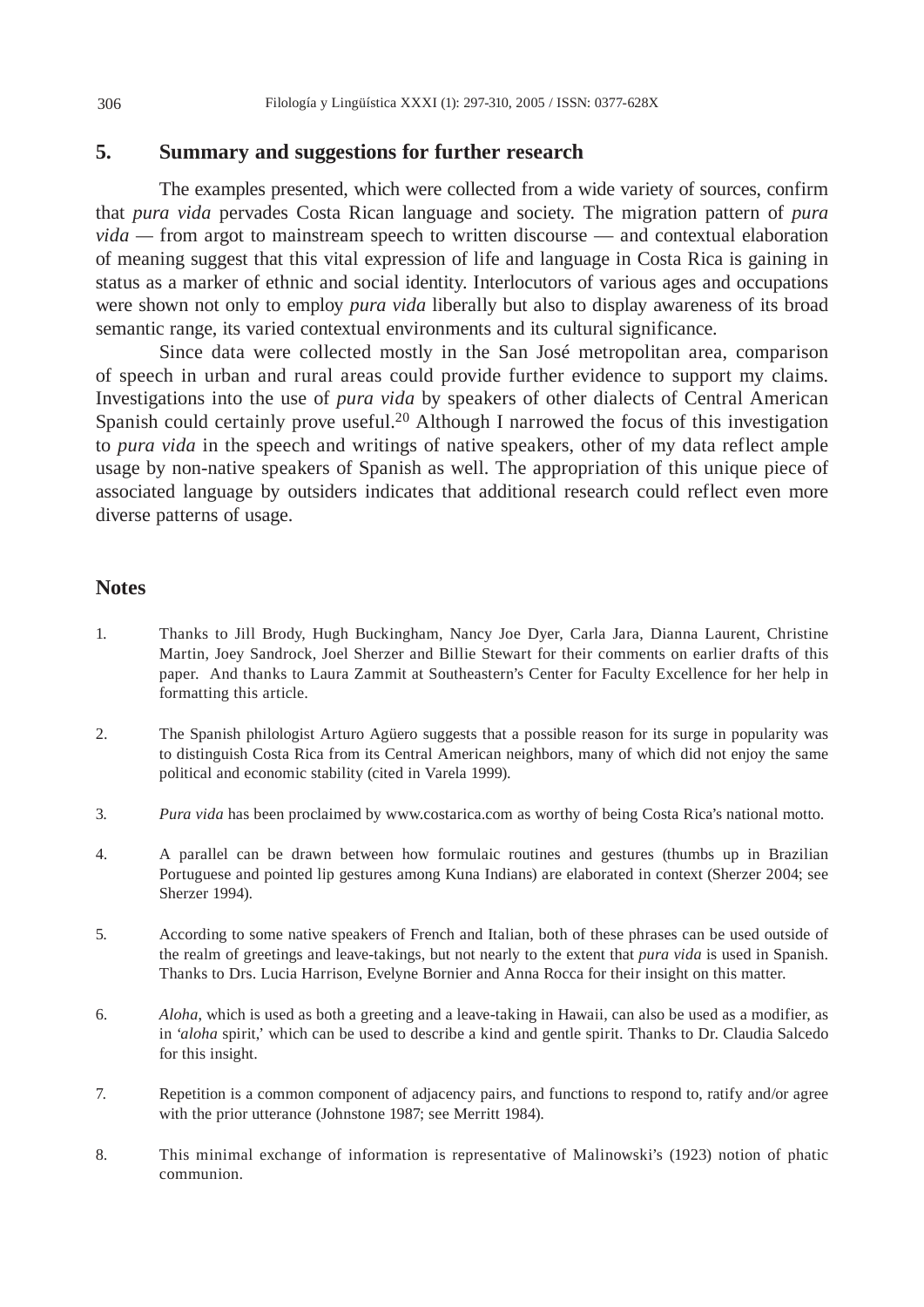# **5. Summary and suggestions for further research**

The examples presented, which were collected from a wide variety of sources, confirm that *pura vida* pervades Costa Rican language and society. The migration pattern of *pura vida —* from argot to mainstream speech to written discourse — and contextual elaboration of meaning suggest that this vital expression of life and language in Costa Rica is gaining in status as a marker of ethnic and social identity. Interlocutors of various ages and occupations were shown not only to employ *pura vida* liberally but also to display awareness of its broad semantic range, its varied contextual environments and its cultural significance.

Since data were collected mostly in the San José metropolitan area, comparison of speech in urban and rural areas could provide further evidence to support my claims. Investigations into the use of *pura vida* by speakers of other dialects of Central American Spanish could certainly prove useful.<sup>20</sup> Although I narrowed the focus of this investigation to *pura vida* in the speech and writings of native speakers, other of my data reflect ample usage by non-native speakers of Spanish as well. The appropriation of this unique piece of associated language by outsiders indicates that additional research could reflect even more diverse patterns of usage.

# **Notes**

- 1. Thanks to Jill Brody, Hugh Buckingham, Nancy Joe Dyer, Carla Jara, Dianna Laurent, Christine Martin, Joey Sandrock, Joel Sherzer and Billie Stewart for their comments on earlier drafts of this paper. And thanks to Laura Zammit at Southeastern's Center for Faculty Excellence for her help in formatting this article.
- 2. The Spanish philologist Arturo Agüero suggests that a possible reason for its surge in popularity was to distinguish Costa Rica from its Central American neighbors, many of which did not enjoy the same political and economic stability (cited in Varela 1999).
- 3. *Pura vida* has been proclaimed by www.costarica.com as worthy of being Costa Rica's national motto.
- 4. A parallel can be drawn between how formulaic routines and gestures (thumbs up in Brazilian Portuguese and pointed lip gestures among Kuna Indians) are elaborated in context (Sherzer 2004; see Sherzer 1994).
- 5. According to some native speakers of French and Italian, both of these phrases can be used outside of the realm of greetings and leave-takings, but not nearly to the extent that *pura vida* is used in Spanish. Thanks to Drs. Lucia Harrison, Evelyne Bornier and Anna Rocca for their insight on this matter.
- 6. *Aloha*, which is used as both a greeting and a leave-taking in Hawaii, can also be used as a modifier, as in '*aloha* spirit,' which can be used to describe a kind and gentle spirit. Thanks to Dr. Claudia Salcedo for this insight.
- 7. Repetition is a common component of adjacency pairs, and functions to respond to, ratify and/or agree with the prior utterance (Johnstone 1987; see Merritt 1984).
- 8. This minimal exchange of information is representative of Malinowski's (1923) notion of phatic communion.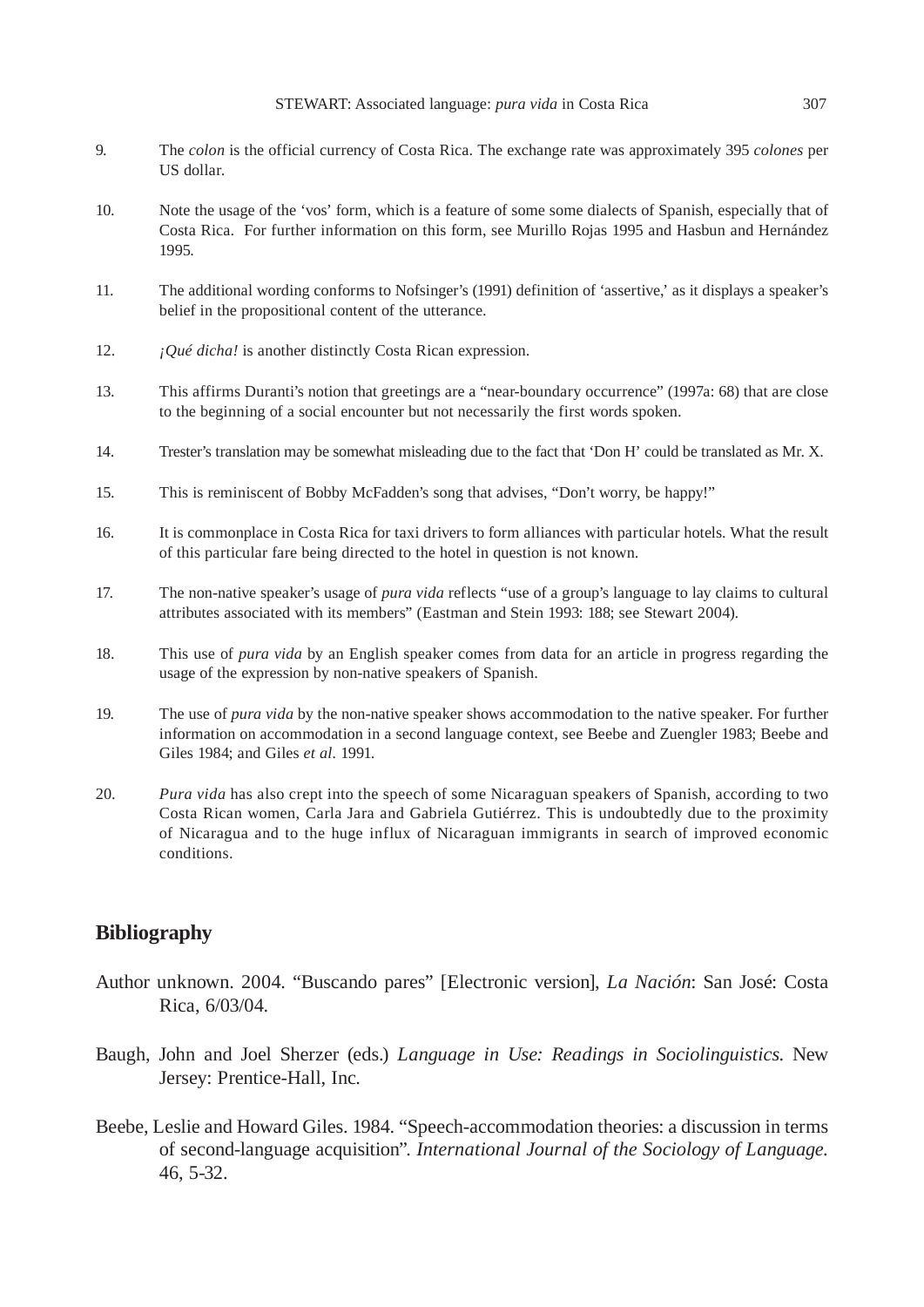- 9. The *colon* is the official currency of Costa Rica. The exchange rate was approximately 395 *colones* per US dollar.
- 10. Note the usage of the 'vos' form, which is a feature of some some dialects of Spanish, especially that of Costa Rica. For further information on this form, see Murillo Rojas 1995 and Hasbun and Hernández 1995.
- 11. The additional wording conforms to Nofsinger's (1991) definition of 'assertive,' as it displays a speaker's belief in the propositional content of the utterance.
- 12. *¡Qué dicha!* is another distinctly Costa Rican expression.
- 13. This affirms Duranti's notion that greetings are a "near-boundary occurrence" (1997a: 68) that are close to the beginning of a social encounter but not necessarily the first words spoken.
- 14. Trester's translation may be somewhat misleading due to the fact that 'Don H' could be translated as Mr. X.
- 15. This is reminiscent of Bobby McFadden's song that advises, "Don't worry, be happy!"
- 16. It is commonplace in Costa Rica for taxi drivers to form alliances with particular hotels. What the result of this particular fare being directed to the hotel in question is not known.
- 17. The non-native speaker's usage of *pura vida* reflects "use of a group's language to lay claims to cultural attributes associated with its members" (Eastman and Stein 1993: 188; see Stewart 2004).
- 18. This use of *pura vida* by an English speaker comes from data for an article in progress regarding the usage of the expression by non-native speakers of Spanish.
- 19. The use of *pura vida* by the non-native speaker shows accommodation to the native speaker. For further information on accommodation in a second language context, see Beebe and Zuengler 1983; Beebe and Giles 1984; and Giles *et al.* 1991.
- 20. *Pura vida* has also crept into the speech of some Nicaraguan speakers of Spanish, according to two Costa Rican women, Carla Jara and Gabriela Gutiérrez. This is undoubtedly due to the proximity of Nicaragua and to the huge influx of Nicaraguan immigrants in search of improved economic conditions.

# **Bibliography**

- Author unknown. 2004. "Buscando pares" [Electronic version], *La Nación*: San José: Costa Rica, 6/03/04.
- Baugh, John and Joel Sherzer (eds.) *Language in Use: Readings in Sociolinguistics*. New Jersey: Prentice-Hall, Inc.
- Beebe, Leslie and Howard Giles. 1984. "Speech-accommodation theories: a discussion in terms of second-language acquisition". *International Journal of the Sociology of Language.* 46, 5-32.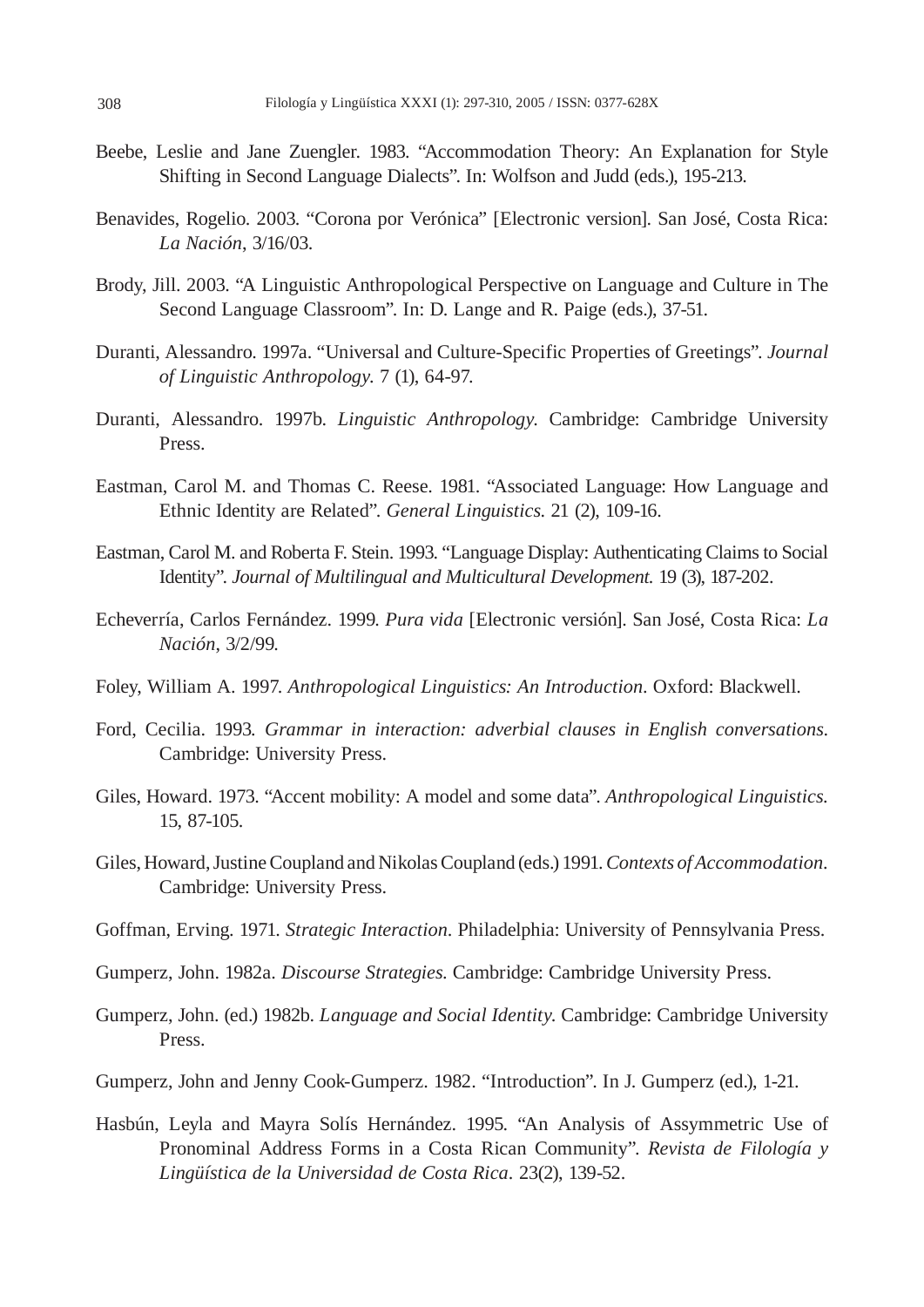- Beebe, Leslie and Jane Zuengler. 1983. "Accommodation Theory: An Explanation for Style Shifting in Second Language Dialects". In: Wolfson and Judd (eds.), 195-213.
- Benavides, Rogelio. 2003. "Corona por Verónica" [Electronic version]. San José, Costa Rica: *La Nación*, 3/16/03.
- Brody, Jill. 2003. "A Linguistic Anthropological Perspective on Language and Culture in The Second Language Classroom". In: D. Lange and R. Paige (eds.), 37-51.
- Duranti, Alessandro. 1997a. "Universal and Culture-Specific Properties of Greetings". *Journal of Linguistic Anthropology.* 7 (1), 64-97.
- Duranti, Alessandro. 1997b. *Linguistic Anthropology*. Cambridge: Cambridge University Press.
- Eastman, Carol M. and Thomas C. Reese. 1981. "Associated Language: How Language and Ethnic Identity are Related". *General Linguistics.* 21 (2), 109-16.
- Eastman, Carol M. and Roberta F. Stein. 1993. "Language Display: Authenticating Claims to Social Identity". *Journal of Multilingual and Multicultural Development.* 19 (3), 187-202.
- Echeverría, Carlos Fernández. 1999. *Pura vida* [Electronic versión]. San José, Costa Rica: *La Nación*, 3/2/99.
- Foley, William A. 1997. *Anthropological Linguistics: An Introduction*. Oxford: Blackwell.
- Ford, Cecilia. 1993*. Grammar in interaction: adverbial clauses in English conversations*. Cambridge: University Press.
- Giles, Howard. 1973. "Accent mobility: A model and some data". *Anthropological Linguistics.* 15, 87-105.
- Giles, Howard, Justine Coupland and Nikolas Coupland (eds.) 1991. *Contexts of Accommodation.* Cambridge: University Press.
- Goffman, Erving. 1971. *Strategic Interaction*. Philadelphia: University of Pennsylvania Press.
- Gumperz, John. 1982a. *Discourse Strategies*. Cambridge: Cambridge University Press.
- Gumperz, John. (ed.) 1982b. *Language and Social Identity*. Cambridge: Cambridge University Press.
- Gumperz, John and Jenny Cook-Gumperz. 1982. "Introduction". In J. Gumperz (ed.), 1-21.
- Hasbún, Leyla and Mayra Solís Hernández. 1995. "An Analysis of Assymmetric Use of Pronominal Address Forms in a Costa Rican Community". *Revista de Filología y Lingüística de la Universidad de Costa Rica.* 23(2), 139-52.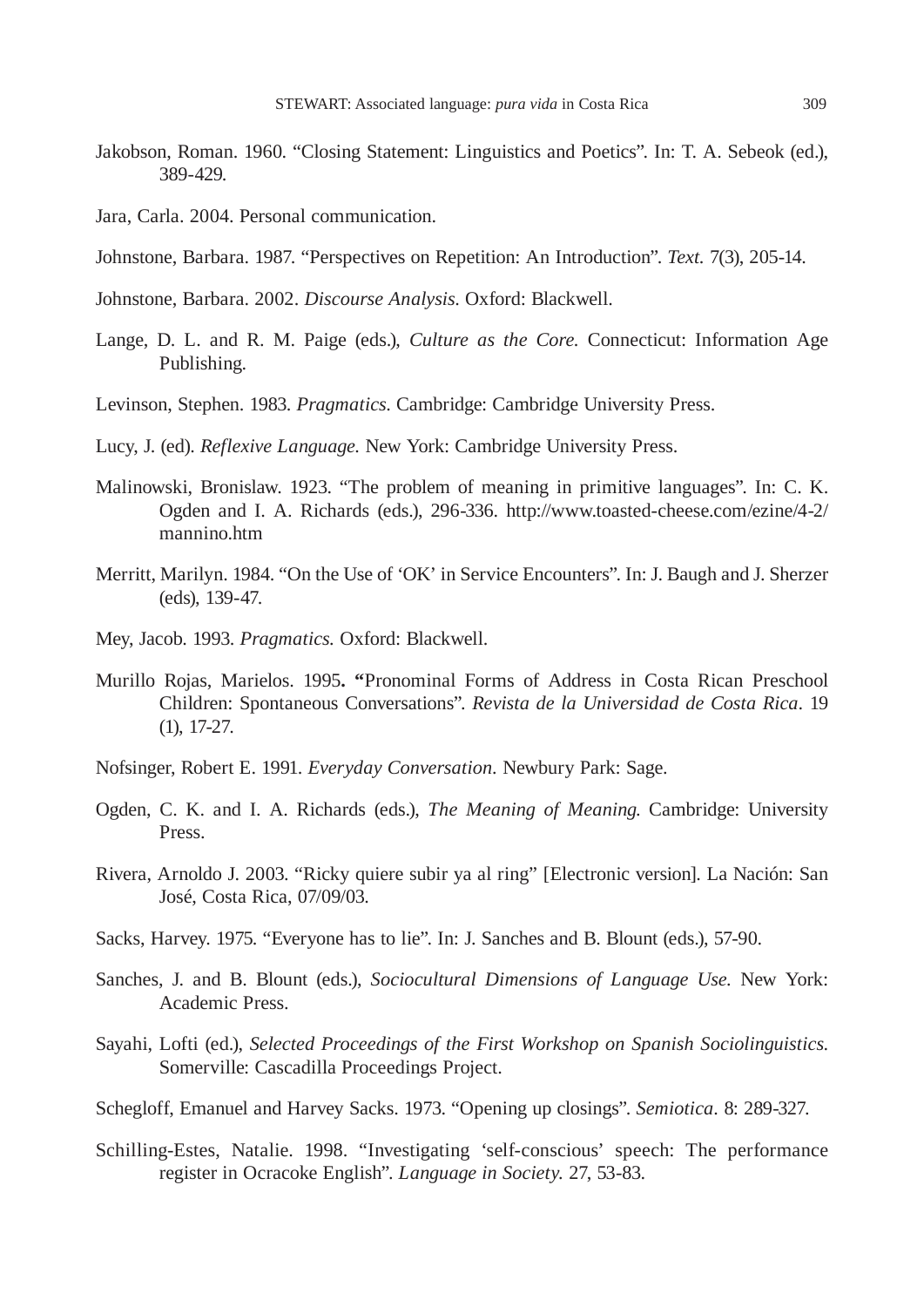- Jakobson, Roman. 1960. "Closing Statement: Linguistics and Poetics". In: T. A. Sebeok (ed.), 389-429.
- Jara, Carla. 2004. Personal communication.
- Johnstone, Barbara. 1987. "Perspectives on Repetition: An Introduction". *Text.* 7(3), 205-14.
- Johnstone, Barbara. 2002. *Discourse Analysis*. Oxford: Blackwell.
- Lange, D. L. and R. M. Paige (eds.), *Culture as the Core.* Connecticut: Information Age Publishing.
- Levinson, Stephen. 1983. *Pragmatics*. Cambridge: Cambridge University Press.
- Lucy, J. (ed). *Reflexive Language.* New York: Cambridge University Press.
- Malinowski, Bronislaw. 1923. "The problem of meaning in primitive languages". In: C. K. Ogden and I. A. Richards (eds.), 296-336. http://www.toasted-cheese.com/ezine/4-2/ mannino.htm
- Merritt, Marilyn. 1984. "On the Use of 'OK' in Service Encounters". In: J. Baugh and J. Sherzer (eds), 139-47.
- Mey, Jacob. 1993. *Pragmatics.* Oxford: Blackwell.
- Murillo Rojas, Marielos. 1995**. "**Pronominal Forms of Address in Costa Rican Preschool Children: Spontaneous Conversations". *Revista de la Universidad de Costa Rica*. 19 (1), 17-27.
- Nofsinger, Robert E. 1991. *Everyday Conversation.* Newbury Park: Sage.
- Ogden, C. K. and I. A. Richards (eds.), *The Meaning of Meaning*. Cambridge: University Press.
- Rivera, Arnoldo J. 2003. "Ricky quiere subir ya al ring" [Electronic version]. La Nación: San José, Costa Rica, 07/09/03.
- Sacks, Harvey. 1975. "Everyone has to lie". In: J. Sanches and B. Blount (eds.), 57-90.
- Sanches, J. and B. Blount (eds.), *Sociocultural Dimensions of Language Use.* New York: Academic Press.
- Sayahi, Lofti (ed.), *Selected Proceedings of the First Workshop on Spanish Sociolinguistics*. Somerville: Cascadilla Proceedings Project.
- Schegloff, Emanuel and Harvey Sacks. 1973. "Opening up closings". *Semiotica.* 8: 289-327.
- Schilling-Estes, Natalie. 1998. "Investigating 'self-conscious' speech: The performance register in Ocracoke English". *Language in Society.* 27, 53-83.